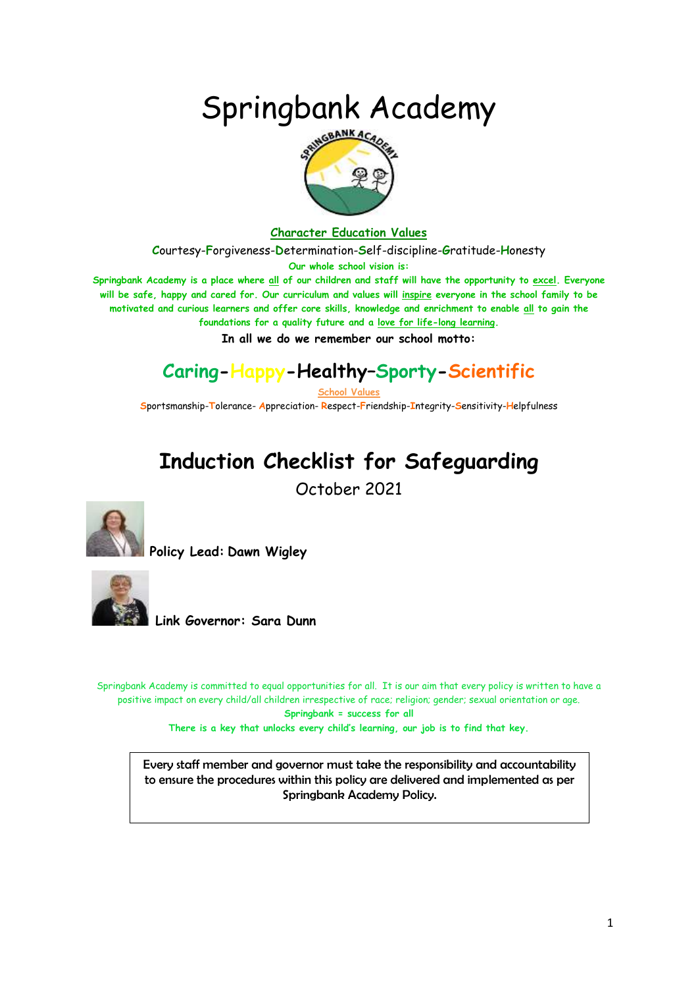# Springbank Academy



#### **Character Education Values**

**C**ourtesy-**F**orgiveness-**D**etermination-**S**elf-discipline-**G**ratitude-**H**onesty

**Our whole school vision is:**

**Springbank Academy is a place where all of our children and staff will have the opportunity to excel. Everyone will be safe, happy and cared for. Our curriculum and values will inspire everyone in the school family to be motivated and curious learners and offer core skills, knowledge and enrichment to enable all to gain the foundations for a quality future and a love for life-long learning.**

**In all we do we remember our school motto:**

### **Caring-Happy-Healthy–Sporty-Scientific**

**School Values**

**S**portsmanship-**T**olerance- **A**ppreciation- **R**espect-**F**riendship-**I**ntegrity-**S**ensitivity-**H**elpfulness

## **Induction Checklist for Safeguarding**

October 2021



**Policy Lead: Dawn Wigley** 



**Link Governor: Sara Dunn**

Springbank Academy is committed to equal opportunities for all. It is our aim that every policy is written to have a positive impact on every child/all children irrespective of race; religion; gender; sexual orientation or age. **Springbank = success for all**

**There is a key that unlocks every child's learning, our job is to find that key.**

Every staff member and governor must take the responsibility and accountability to ensure the procedures within this policy are delivered and implemented as per Springbank Academy Policy.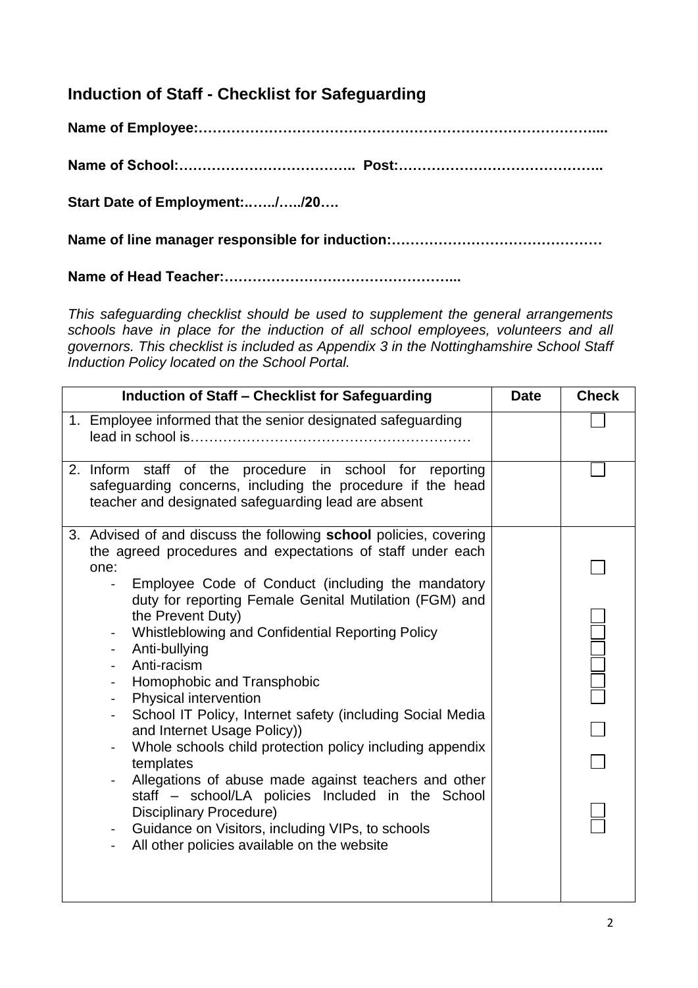#### **Induction of Staff - Checklist for Safeguarding**

**Name of Employee:…………………………………………………………………………....**

**Name of School:……………………………….. Post:……………………………………..**

**Start Date of Employment:..…../…../20….**

**Name of line manager responsible for induction:………………………………………**

**Name of Head Teacher:…………………………………………...**

*This safeguarding checklist should be used to supplement the general arrangements schools have in place for the induction of all school employees, volunteers and all governors. This checklist is included as Appendix 3 in the Nottinghamshire School Staff Induction Policy located on the School Portal.* 

| <b>Induction of Staff - Checklist for Safeguarding</b>                                                                                                                                                                                                                                                                                                                                                                                                                                                                                                                                                                                                                                                                                                                                                                                                                                                                                                                 | <b>Date</b> | <b>Check</b> |
|------------------------------------------------------------------------------------------------------------------------------------------------------------------------------------------------------------------------------------------------------------------------------------------------------------------------------------------------------------------------------------------------------------------------------------------------------------------------------------------------------------------------------------------------------------------------------------------------------------------------------------------------------------------------------------------------------------------------------------------------------------------------------------------------------------------------------------------------------------------------------------------------------------------------------------------------------------------------|-------------|--------------|
| 1. Employee informed that the senior designated safeguarding                                                                                                                                                                                                                                                                                                                                                                                                                                                                                                                                                                                                                                                                                                                                                                                                                                                                                                           |             |              |
| staff of the procedure in school for<br>2. Inform<br>reporting<br>safeguarding concerns, including the procedure if the head<br>teacher and designated safeguarding lead are absent                                                                                                                                                                                                                                                                                                                                                                                                                                                                                                                                                                                                                                                                                                                                                                                    |             |              |
| 3. Advised of and discuss the following school policies, covering<br>the agreed procedures and expectations of staff under each<br>one:<br>Employee Code of Conduct (including the mandatory<br>duty for reporting Female Genital Mutilation (FGM) and<br>the Prevent Duty)<br>Whistleblowing and Confidential Reporting Policy<br>$\overline{\phantom{0}}$<br>Anti-bullying<br>$\blacksquare$<br>Anti-racism<br>Homophobic and Transphobic<br><b>Physical intervention</b><br>School IT Policy, Internet safety (including Social Media<br>$\blacksquare$<br>and Internet Usage Policy))<br>Whole schools child protection policy including appendix<br>templates<br>Allegations of abuse made against teachers and other<br>$\blacksquare$<br>staff - school/LA policies Included in the School<br><b>Disciplinary Procedure)</b><br>Guidance on Visitors, including VIPs, to schools<br>$\qquad \qquad \blacksquare$<br>All other policies available on the website |             |              |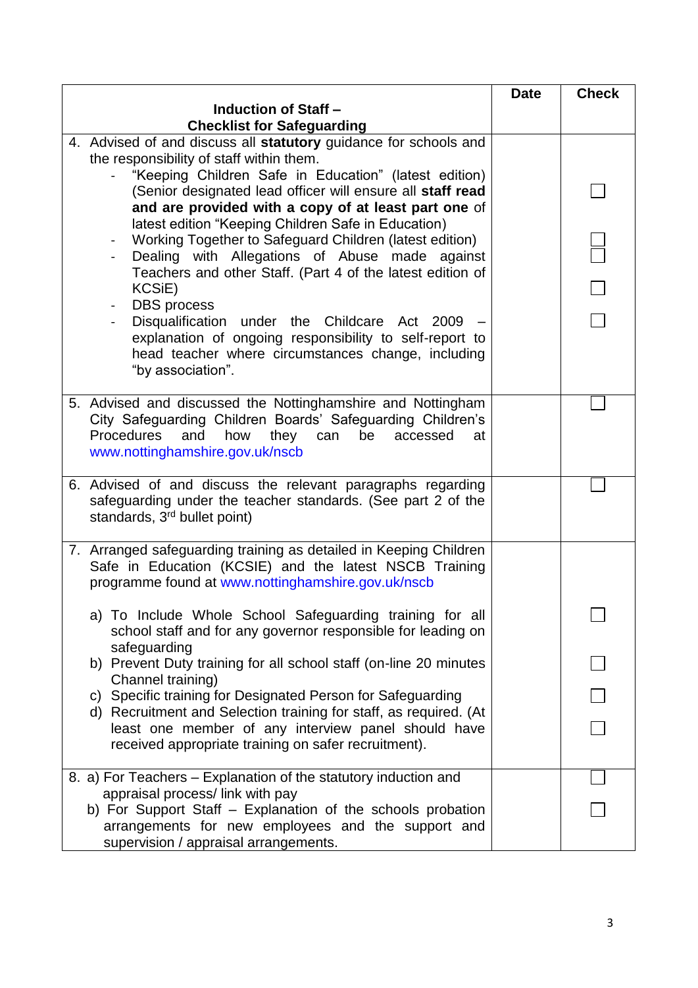|                                                                              | <b>Date</b> | <b>Check</b> |
|------------------------------------------------------------------------------|-------------|--------------|
| <b>Induction of Staff -</b>                                                  |             |              |
| <b>Checklist for Safeguarding</b>                                            |             |              |
| 4. Advised of and discuss all statutory guidance for schools and             |             |              |
| the responsibility of staff within them.                                     |             |              |
| "Keeping Children Safe in Education" (latest edition)                        |             |              |
| (Senior designated lead officer will ensure all staff read                   |             |              |
| and are provided with a copy of at least part one of                         |             |              |
| latest edition "Keeping Children Safe in Education)                          |             |              |
| Working Together to Safeguard Children (latest edition)                      |             |              |
| Dealing with Allegations of Abuse made against                               |             |              |
| Teachers and other Staff. (Part 4 of the latest edition of                   |             |              |
| KCSiE)                                                                       |             |              |
| <b>DBS</b> process<br>Disqualification under the Childcare<br>Act 2009       |             |              |
| explanation of ongoing responsibility to self-report to                      |             |              |
| head teacher where circumstances change, including                           |             |              |
| "by association".                                                            |             |              |
|                                                                              |             |              |
| 5. Advised and discussed the Nottinghamshire and Nottingham                  |             |              |
| City Safeguarding Children Boards' Safeguarding Children's                   |             |              |
| how<br><b>Procedures</b><br>and<br>they<br>can<br>be<br>accessed<br>at       |             |              |
| www.nottinghamshire.gov.uk/nscb                                              |             |              |
|                                                                              |             |              |
| 6. Advised of and discuss the relevant paragraphs regarding                  |             |              |
| safeguarding under the teacher standards. (See part 2 of the                 |             |              |
| standards, 3 <sup>rd</sup> bullet point)                                     |             |              |
|                                                                              |             |              |
| 7. Arranged safeguarding training as detailed in Keeping Children            |             |              |
| Safe in Education (KCSIE) and the latest NSCB Training                       |             |              |
| programme found at www.nottinghamshire.gov.uk/nscb                           |             |              |
|                                                                              |             |              |
| a) To Include Whole School Safeguarding training for all                     |             |              |
| school staff and for any governor responsible for leading on<br>safeguarding |             |              |
| b) Prevent Duty training for all school staff (on-line 20 minutes            |             |              |
| Channel training)                                                            |             |              |
| c) Specific training for Designated Person for Safeguarding                  |             |              |
| d) Recruitment and Selection training for staff, as required. (At            |             |              |
| least one member of any interview panel should have                          |             |              |
| received appropriate training on safer recruitment).                         |             |              |
|                                                                              |             |              |
| 8. a) For Teachers - Explanation of the statutory induction and              |             |              |
| appraisal process/ link with pay                                             |             |              |
| b) For Support Staff - Explanation of the schools probation                  |             |              |
| arrangements for new employees and the support and                           |             |              |
| supervision / appraisal arrangements.                                        |             |              |